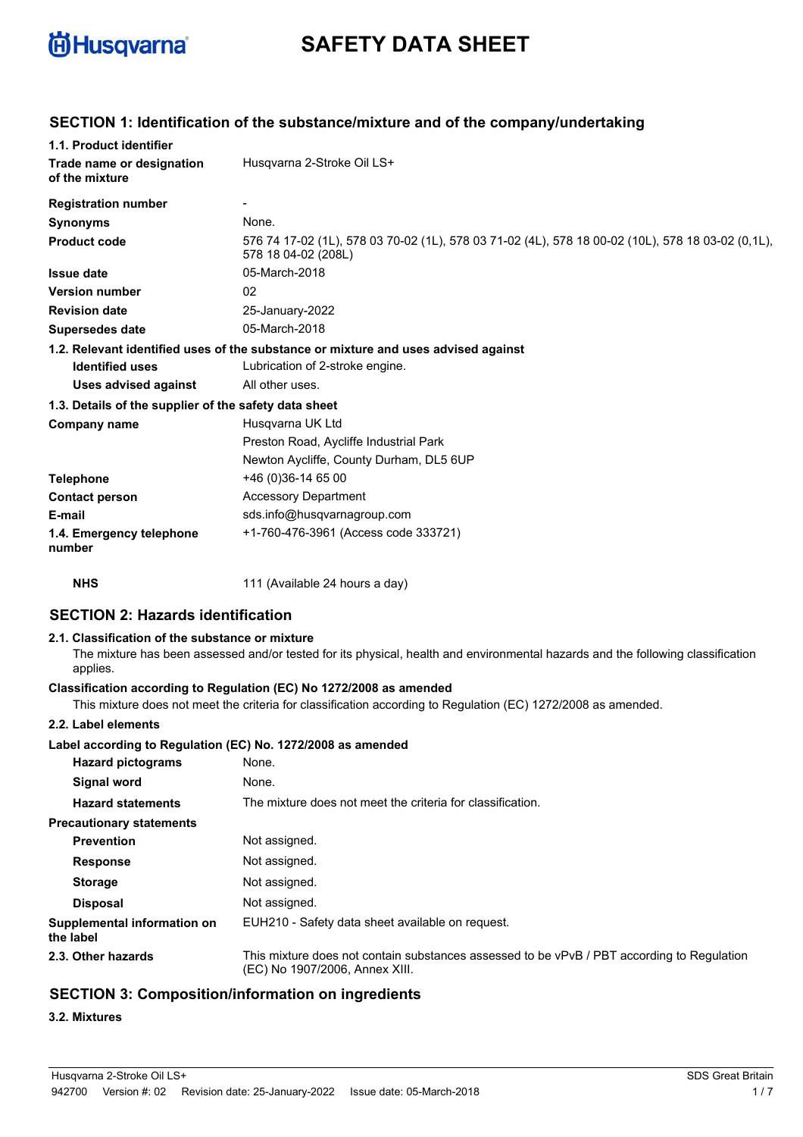

# **SAFETY DATA SHEET**

## **SECTION 1: Identification of the substance/mixture and of the company/undertaking**

| 1.1. Product identifier                               |                                                                                                                          |
|-------------------------------------------------------|--------------------------------------------------------------------------------------------------------------------------|
| Trade name or designation<br>of the mixture           | Husqvarna 2-Stroke Oil LS+                                                                                               |
| <b>Registration number</b>                            |                                                                                                                          |
| <b>Synonyms</b>                                       | None.                                                                                                                    |
| <b>Product code</b>                                   | 576 74 17-02 (1L), 578 03 70-02 (1L), 578 03 71-02 (4L), 578 18 00-02 (10L), 578 18 03-02 (0.1L),<br>578 18 04-02 (208L) |
| <b>Issue date</b>                                     | 05-March-2018                                                                                                            |
| <b>Version number</b>                                 | 02                                                                                                                       |
| <b>Revision date</b>                                  | 25-January-2022                                                                                                          |
| <b>Supersedes date</b>                                | 05-March-2018                                                                                                            |
|                                                       | 1.2. Relevant identified uses of the substance or mixture and uses advised against                                       |
| <b>Identified uses</b>                                | Lubrication of 2-stroke engine.                                                                                          |
| <b>Uses advised against</b>                           | All other uses.                                                                                                          |
| 1.3. Details of the supplier of the safety data sheet |                                                                                                                          |
| Company name                                          | Husgvarna UK Ltd                                                                                                         |
|                                                       | Preston Road, Aycliffe Industrial Park                                                                                   |
|                                                       | Newton Aycliffe, County Durham, DL5 6UP                                                                                  |
| <b>Telephone</b>                                      | +46 (0)36-14 65 00                                                                                                       |
| <b>Contact person</b>                                 | <b>Accessory Department</b>                                                                                              |
| E-mail                                                | sds.info@husqvarnagroup.com                                                                                              |
| 1.4. Emergency telephone<br>number                    | +1-760-476-3961 (Access code 333721)                                                                                     |
| <b>NHS</b>                                            | 111 (Available 24 hours a day)                                                                                           |

## **SECTION 2: Hazards identification**

#### **2.1. Classification of the substance or mixture**

The mixture has been assessed and/or tested for its physical, health and environmental hazards and the following classification applies.

#### **Classification according to Regulation (EC) No 1272/2008 as amended**

This mixture does not meet the criteria for classification according to Regulation (EC) 1272/2008 as amended.

#### **2.2. Label elements**

#### **Label according to Regulation (EC) No. 1272/2008 as amended**

| <b>Hazard pictograms</b>                 | None.                                                                                                                        |
|------------------------------------------|------------------------------------------------------------------------------------------------------------------------------|
| Signal word                              | None.                                                                                                                        |
| <b>Hazard statements</b>                 | The mixture does not meet the criteria for classification.                                                                   |
| <b>Precautionary statements</b>          |                                                                                                                              |
| <b>Prevention</b>                        | Not assigned.                                                                                                                |
| <b>Response</b>                          | Not assigned.                                                                                                                |
| <b>Storage</b>                           | Not assigned.                                                                                                                |
| <b>Disposal</b>                          | Not assigned.                                                                                                                |
| Supplemental information on<br>the label | EUH210 - Safety data sheet available on request.                                                                             |
| 2.3. Other hazards                       | This mixture does not contain substances assessed to be vPvB / PBT according to Regulation<br>(EC) No 1907/2006, Annex XIII. |

## **SECTION 3: Composition/information on ingredients**

## **3.2. Mixtures**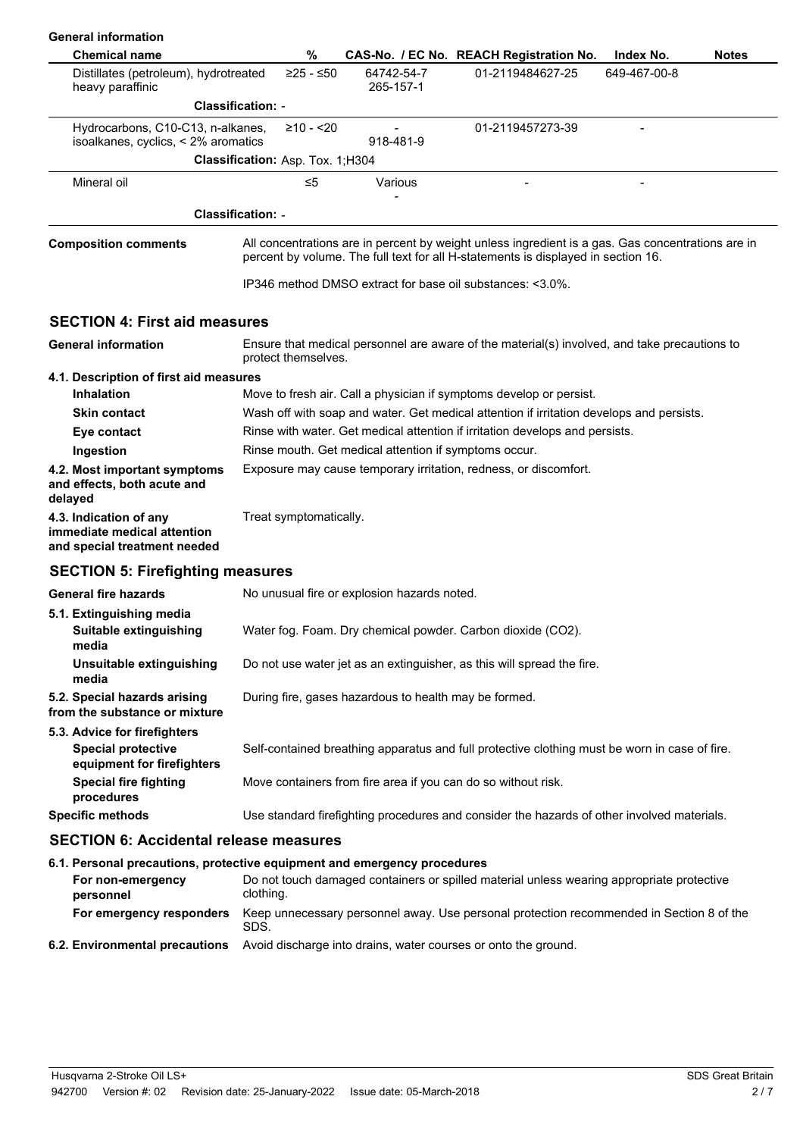| <b>General information</b>                                                              |                                  |             |                                                       |                                                                                               |                                                                                                   |
|-----------------------------------------------------------------------------------------|----------------------------------|-------------|-------------------------------------------------------|-----------------------------------------------------------------------------------------------|---------------------------------------------------------------------------------------------------|
| <b>Chemical name</b>                                                                    |                                  | %           |                                                       | CAS-No. / EC No. REACH Registration No.                                                       | Index No.<br><b>Notes</b>                                                                         |
| Distillates (petroleum), hydrotreated<br>heavy paraffinic                               |                                  | $≥25 - ≤50$ | 64742-54-7<br>265-157-1                               | 01-2119484627-25                                                                              | 649-467-00-8                                                                                      |
|                                                                                         | <b>Classification: -</b>         |             |                                                       |                                                                                               |                                                                                                   |
| Hydrocarbons, C10-C13, n-alkanes,<br>isoalkanes, cyclics, < 2% aromatics                |                                  | $≥10 - 20$  | 918-481-9                                             | 01-2119457273-39                                                                              |                                                                                                   |
|                                                                                         | Classification: Asp. Tox. 1;H304 |             |                                                       |                                                                                               |                                                                                                   |
| Mineral oil                                                                             |                                  | ≤5          | Various                                               | $\overline{\phantom{0}}$                                                                      | $\overline{a}$                                                                                    |
|                                                                                         |                                  |             |                                                       |                                                                                               |                                                                                                   |
|                                                                                         | <b>Classification: -</b>         |             |                                                       |                                                                                               |                                                                                                   |
| <b>Composition comments</b>                                                             |                                  |             |                                                       | percent by volume. The full text for all H-statements is displayed in section 16.             | All concentrations are in percent by weight unless ingredient is a gas. Gas concentrations are in |
|                                                                                         |                                  |             |                                                       | IP346 method DMSO extract for base oil substances: <3.0%.                                     |                                                                                                   |
| <b>SECTION 4: First aid measures</b>                                                    |                                  |             |                                                       |                                                                                               |                                                                                                   |
| <b>General information</b>                                                              | protect themselves.              |             |                                                       | Ensure that medical personnel are aware of the material(s) involved, and take precautions to  |                                                                                                   |
| 4.1. Description of first aid measures                                                  |                                  |             |                                                       |                                                                                               |                                                                                                   |
| <b>Inhalation</b>                                                                       |                                  |             |                                                       | Move to fresh air. Call a physician if symptoms develop or persist.                           |                                                                                                   |
| <b>Skin contact</b>                                                                     |                                  |             |                                                       | Wash off with soap and water. Get medical attention if irritation develops and persists.      |                                                                                                   |
| Eye contact                                                                             |                                  |             |                                                       | Rinse with water. Get medical attention if irritation develops and persists.                  |                                                                                                   |
| Ingestion                                                                               |                                  |             | Rinse mouth. Get medical attention if symptoms occur. |                                                                                               |                                                                                                   |
| 4.2. Most important symptoms<br>and effects, both acute and<br>delayed                  |                                  |             |                                                       | Exposure may cause temporary irritation, redness, or discomfort.                              |                                                                                                   |
| 4.3. Indication of any<br>immediate medical attention<br>and special treatment needed   | Treat symptomatically.           |             |                                                       |                                                                                               |                                                                                                   |
| <b>SECTION 5: Firefighting measures</b>                                                 |                                  |             |                                                       |                                                                                               |                                                                                                   |
| <b>General fire hazards</b>                                                             |                                  |             | No unusual fire or explosion hazards noted.           |                                                                                               |                                                                                                   |
| 5.1. Extinguishing media<br>Suitable extinguishing<br>media                             |                                  |             |                                                       | Water fog. Foam. Dry chemical powder. Carbon dioxide (CO2).                                   |                                                                                                   |
| Unsuitable extinguishing<br>media                                                       |                                  |             |                                                       | Do not use water jet as an extinguisher, as this will spread the fire.                        |                                                                                                   |
| 5.2. Special hazards arising<br>from the substance or mixture                           |                                  |             | During fire, gases hazardous to health may be formed. |                                                                                               |                                                                                                   |
| 5.3. Advice for firefighters<br><b>Special protective</b><br>equipment for firefighters |                                  |             |                                                       | Self-contained breathing apparatus and full protective clothing must be worn in case of fire. |                                                                                                   |
| <b>Special fire fighting</b><br>procedures                                              |                                  |             |                                                       | Move containers from fire area if you can do so without risk.                                 |                                                                                                   |
| <b>Specific methods</b>                                                                 |                                  |             |                                                       | Use standard firefighting procedures and consider the hazards of other involved materials.    |                                                                                                   |
| <b>SECTION 6: Accidental release measures</b>                                           |                                  |             |                                                       |                                                                                               |                                                                                                   |
| 6.1. Personal precautions, protective equipment and emergency procedures                |                                  |             |                                                       |                                                                                               |                                                                                                   |
| For non-emergency<br>personnel                                                          | clothing.                        |             |                                                       | Do not touch damaged containers or spilled material unless wearing appropriate protective     |                                                                                                   |
| For emergency responders                                                                | SDS.                             |             |                                                       |                                                                                               | Keep unnecessary personnel away. Use personal protection recommended in Section 8 of the          |
| 6.2. Environmental precautions                                                          |                                  |             |                                                       | Avoid discharge into drains, water courses or onto the ground.                                |                                                                                                   |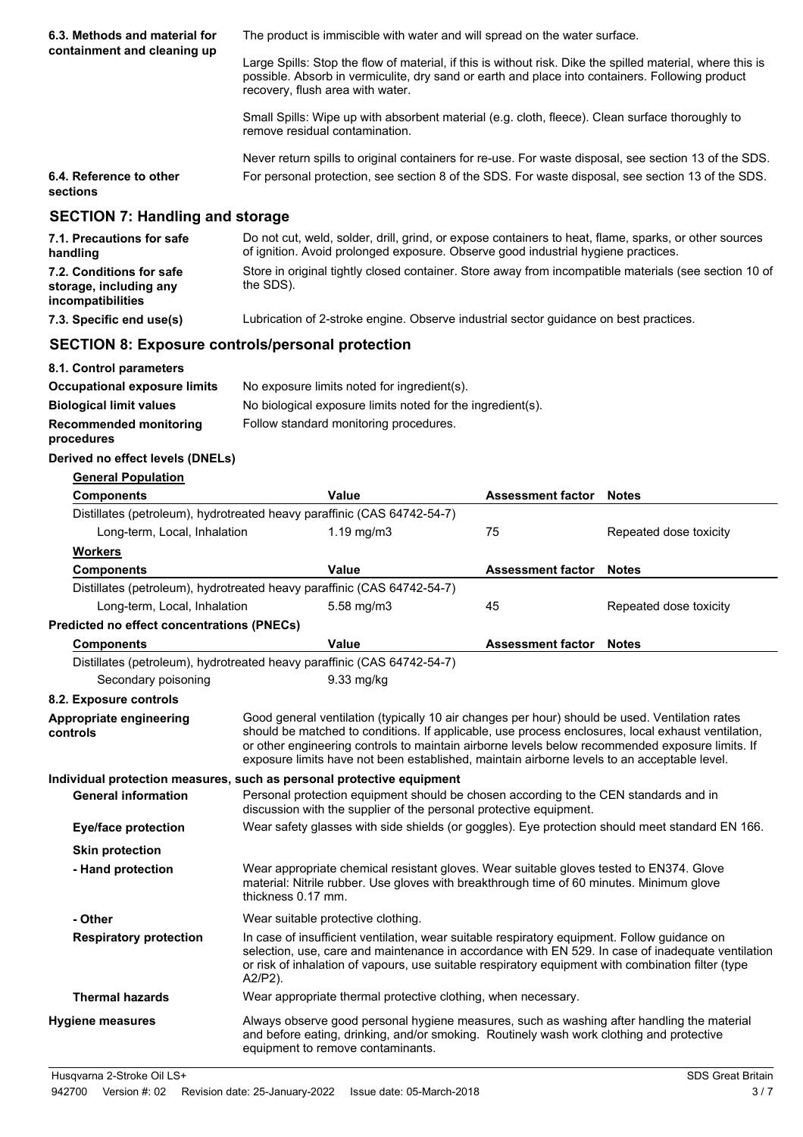| 6.3. Methods and material for                                                     | The product is immiscible with water and will spread on the water surface.                                                                                                                                                                                                                                                                                                                             |                          |                        |  |  |
|-----------------------------------------------------------------------------------|--------------------------------------------------------------------------------------------------------------------------------------------------------------------------------------------------------------------------------------------------------------------------------------------------------------------------------------------------------------------------------------------------------|--------------------------|------------------------|--|--|
| containment and cleaning up                                                       | Large Spills: Stop the flow of material, if this is without risk. Dike the spilled material, where this is<br>possible. Absorb in vermiculite, dry sand or earth and place into containers. Following product<br>recovery, flush area with water.                                                                                                                                                      |                          |                        |  |  |
|                                                                                   | Small Spills: Wipe up with absorbent material (e.g. cloth, fleece). Clean surface thoroughly to<br>remove residual contamination.                                                                                                                                                                                                                                                                      |                          |                        |  |  |
| 6.4. Reference to other<br>sections                                               | Never return spills to original containers for re-use. For waste disposal, see section 13 of the SDS.<br>For personal protection, see section 8 of the SDS. For waste disposal, see section 13 of the SDS.                                                                                                                                                                                             |                          |                        |  |  |
| <b>SECTION 7: Handling and storage</b>                                            |                                                                                                                                                                                                                                                                                                                                                                                                        |                          |                        |  |  |
| 7.1. Precautions for safe<br>handling                                             | Do not cut, weld, solder, drill, grind, or expose containers to heat, flame, sparks, or other sources<br>of ignition. Avoid prolonged exposure. Observe good industrial hygiene practices.                                                                                                                                                                                                             |                          |                        |  |  |
| 7.2. Conditions for safe<br>storage, including any<br>incompatibilities           | Store in original tightly closed container. Store away from incompatible materials (see section 10 of<br>the SDS).                                                                                                                                                                                                                                                                                     |                          |                        |  |  |
| 7.3. Specific end use(s)                                                          | Lubrication of 2-stroke engine. Observe industrial sector guidance on best practices.                                                                                                                                                                                                                                                                                                                  |                          |                        |  |  |
| <b>SECTION 8: Exposure controls/personal protection</b>                           |                                                                                                                                                                                                                                                                                                                                                                                                        |                          |                        |  |  |
| 8.1. Control parameters                                                           |                                                                                                                                                                                                                                                                                                                                                                                                        |                          |                        |  |  |
| <b>Occupational exposure limits</b>                                               | No exposure limits noted for ingredient(s).                                                                                                                                                                                                                                                                                                                                                            |                          |                        |  |  |
| <b>Biological limit values</b>                                                    | No biological exposure limits noted for the ingredient(s).                                                                                                                                                                                                                                                                                                                                             |                          |                        |  |  |
| <b>Recommended monitoring</b><br>procedures                                       | Follow standard monitoring procedures.                                                                                                                                                                                                                                                                                                                                                                 |                          |                        |  |  |
| Derived no effect levels (DNELs)                                                  |                                                                                                                                                                                                                                                                                                                                                                                                        |                          |                        |  |  |
| <b>General Population</b>                                                         |                                                                                                                                                                                                                                                                                                                                                                                                        |                          |                        |  |  |
| <b>Components</b>                                                                 | Value                                                                                                                                                                                                                                                                                                                                                                                                  | <b>Assessment factor</b> | <b>Notes</b>           |  |  |
|                                                                                   | Distillates (petroleum), hydrotreated heavy paraffinic (CAS 64742-54-7)                                                                                                                                                                                                                                                                                                                                |                          |                        |  |  |
| Long-term, Local, Inhalation                                                      | 1.19 mg/m $3$                                                                                                                                                                                                                                                                                                                                                                                          | 75                       | Repeated dose toxicity |  |  |
| <u>Workers</u>                                                                    |                                                                                                                                                                                                                                                                                                                                                                                                        |                          |                        |  |  |
| <b>Components</b>                                                                 | <b>Value</b>                                                                                                                                                                                                                                                                                                                                                                                           | <b>Assessment factor</b> | <b>Notes</b>           |  |  |
|                                                                                   | Distillates (petroleum), hydrotreated heavy paraffinic (CAS 64742-54-7)                                                                                                                                                                                                                                                                                                                                |                          |                        |  |  |
| Long-term, Local, Inhalation<br><b>Predicted no effect concentrations (PNECs)</b> | 5.58 mg/m3                                                                                                                                                                                                                                                                                                                                                                                             | 45                       | Repeated dose toxicity |  |  |
| <b>Components</b>                                                                 | Value                                                                                                                                                                                                                                                                                                                                                                                                  | <b>Assessment factor</b> | <b>Notes</b>           |  |  |
|                                                                                   | Distillates (petroleum), hydrotreated heavy paraffinic (CAS 64742-54-7)                                                                                                                                                                                                                                                                                                                                |                          |                        |  |  |
| Secondary poisoning                                                               | 9.33 mg/kg                                                                                                                                                                                                                                                                                                                                                                                             |                          |                        |  |  |
| 8.2. Exposure controls                                                            |                                                                                                                                                                                                                                                                                                                                                                                                        |                          |                        |  |  |
| Appropriate engineering<br>controls                                               | Good general ventilation (typically 10 air changes per hour) should be used. Ventilation rates<br>should be matched to conditions. If applicable, use process enclosures, local exhaust ventilation,<br>or other engineering controls to maintain airborne levels below recommended exposure limits. If<br>exposure limits have not been established, maintain airborne levels to an acceptable level. |                          |                        |  |  |
| <b>General information</b>                                                        | Individual protection measures, such as personal protective equipment<br>Personal protection equipment should be chosen according to the CEN standards and in<br>discussion with the supplier of the personal protective equipment.                                                                                                                                                                    |                          |                        |  |  |
| <b>Eye/face protection</b>                                                        | Wear safety glasses with side shields (or goggles). Eye protection should meet standard EN 166.                                                                                                                                                                                                                                                                                                        |                          |                        |  |  |
| <b>Skin protection</b>                                                            |                                                                                                                                                                                                                                                                                                                                                                                                        |                          |                        |  |  |
| - Hand protection                                                                 | Wear appropriate chemical resistant gloves. Wear suitable gloves tested to EN374. Glove<br>material: Nitrile rubber. Use gloves with breakthrough time of 60 minutes. Minimum glove<br>thickness 0.17 mm.                                                                                                                                                                                              |                          |                        |  |  |
| - Other                                                                           | Wear suitable protective clothing.                                                                                                                                                                                                                                                                                                                                                                     |                          |                        |  |  |
| <b>Respiratory protection</b>                                                     | In case of insufficient ventilation, wear suitable respiratory equipment. Follow guidance on<br>selection, use, care and maintenance in accordance with EN 529. In case of inadequate ventilation<br>or risk of inhalation of vapours, use suitable respiratory equipment with combination filter (type<br>A2/P2).                                                                                     |                          |                        |  |  |
| <b>Thermal hazards</b>                                                            | Wear appropriate thermal protective clothing, when necessary.                                                                                                                                                                                                                                                                                                                                          |                          |                        |  |  |
| <b>Hygiene measures</b>                                                           | Always observe good personal hygiene measures, such as washing after handling the material<br>and before eating, drinking, and/or smoking. Routinely wash work clothing and protective<br>equipment to remove contaminants.                                                                                                                                                                            |                          |                        |  |  |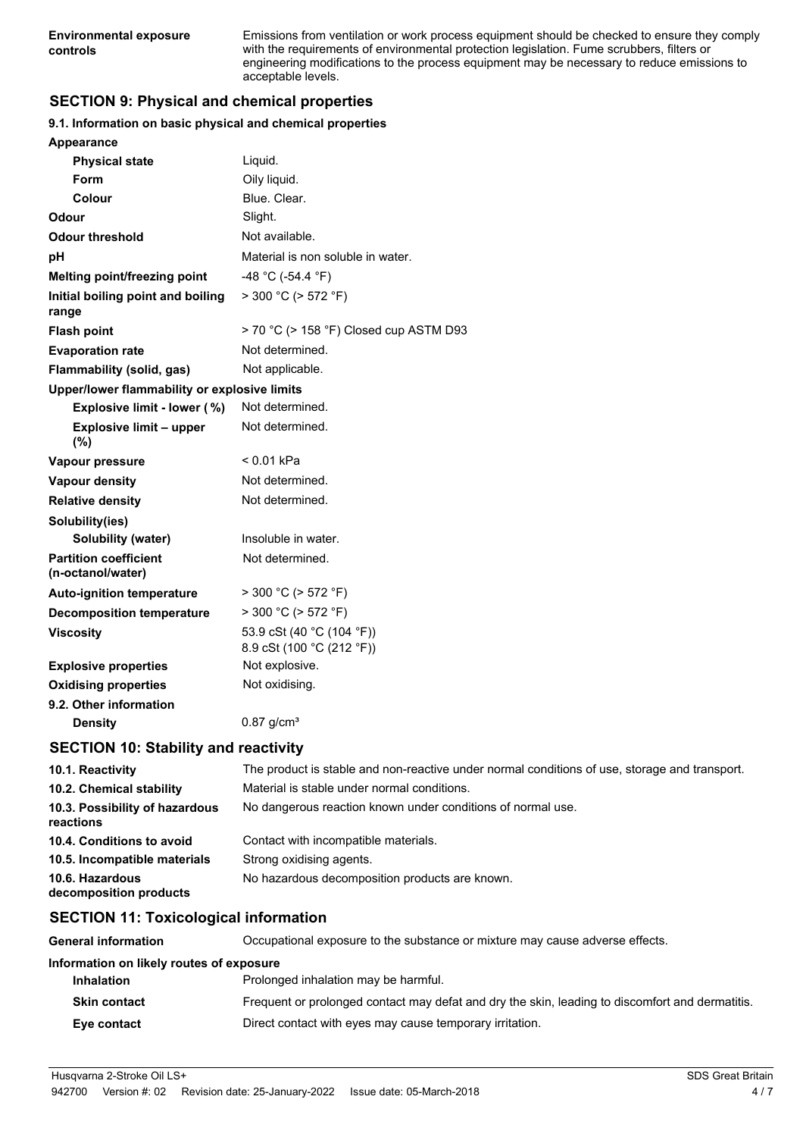Emissions from ventilation or work process equipment should be checked to ensure they comply with the requirements of environmental protection legislation. Fume scrubbers, filters or engineering modifications to the process equipment may be necessary to reduce emissions to acceptable levels.

# **SECTION 9: Physical and chemical properties**

#### **9.1. Information on basic physical and chemical properties**

| Appearance                                        |                                                        |
|---------------------------------------------------|--------------------------------------------------------|
| <b>Physical state</b>                             | Liquid.                                                |
| Form                                              | Oily liquid.                                           |
| Colour                                            | Blue. Clear.                                           |
| Odour                                             | Slight.                                                |
| <b>Odour threshold</b>                            | Not available.                                         |
| рH                                                | Material is non soluble in water.                      |
| <b>Melting point/freezing point</b>               | -48 °C (-54.4 °F)                                      |
| Initial boiling point and boiling<br>range        | $>$ 300 °C ( $>$ 572 °F)                               |
| <b>Flash point</b>                                | > 70 °C (> 158 °F) Closed cup ASTM D93                 |
| <b>Evaporation rate</b>                           | Not determined.                                        |
| <b>Flammability (solid, gas)</b>                  | Not applicable.                                        |
| Upper/lower flammability or explosive limits      |                                                        |
| Explosive limit - lower (%)                       | Not determined.                                        |
| <b>Explosive limit - upper</b><br>(%)             | Not determined.                                        |
| Vapour pressure                                   | < 0.01 kPa                                             |
| Vapour density                                    | Not determined.                                        |
| <b>Relative density</b>                           | Not determined.                                        |
| Solubility(ies)                                   |                                                        |
| <b>Solubility (water)</b>                         | Insoluble in water.                                    |
| <b>Partition coefficient</b><br>(n-octanol/water) | Not determined.                                        |
| <b>Auto-ignition temperature</b>                  | $>$ 300 °C ( $>$ 572 °F)                               |
| <b>Decomposition temperature</b>                  | $>$ 300 °C ( $>$ 572 °F)                               |
| <b>Viscosity</b>                                  | 53.9 cSt (40 °C (104 °F))<br>8.9 cSt (100 °C (212 °F)) |
| <b>Explosive properties</b>                       | Not explosive.                                         |
| <b>Oxidising properties</b>                       | Not oxidising.                                         |
| 9.2. Other information                            |                                                        |
| <b>Density</b>                                    | $0.87$ g/cm <sup>3</sup>                               |
|                                                   |                                                        |

# **SECTION 10: Stability and reactivity**

| 10.1. Reactivity                            | The product is stable and non-reactive under normal conditions of use, storage and transport. |
|---------------------------------------------|-----------------------------------------------------------------------------------------------|
| 10.2. Chemical stability                    | Material is stable under normal conditions.                                                   |
| 10.3. Possibility of hazardous<br>reactions | No dangerous reaction known under conditions of normal use.                                   |
| 10.4. Conditions to avoid                   | Contact with incompatible materials.                                                          |
| 10.5. Incompatible materials                | Strong oxidising agents.                                                                      |
| 10.6. Hazardous<br>decomposition products   | No hazardous decomposition products are known.                                                |

# **SECTION 11: Toxicological information**

**General information** Occupational exposure to the substance or mixture may cause adverse effects.

#### **Information on likely routes of exposure**

| <b>Inhalation</b>   | Prolonged inhalation may be harmful.                                                            |
|---------------------|-------------------------------------------------------------------------------------------------|
| <b>Skin contact</b> | Frequent or prolonged contact may defat and dry the skin, leading to discomfort and dermatitis. |
| Eye contact         | Direct contact with eyes may cause temporary irritation.                                        |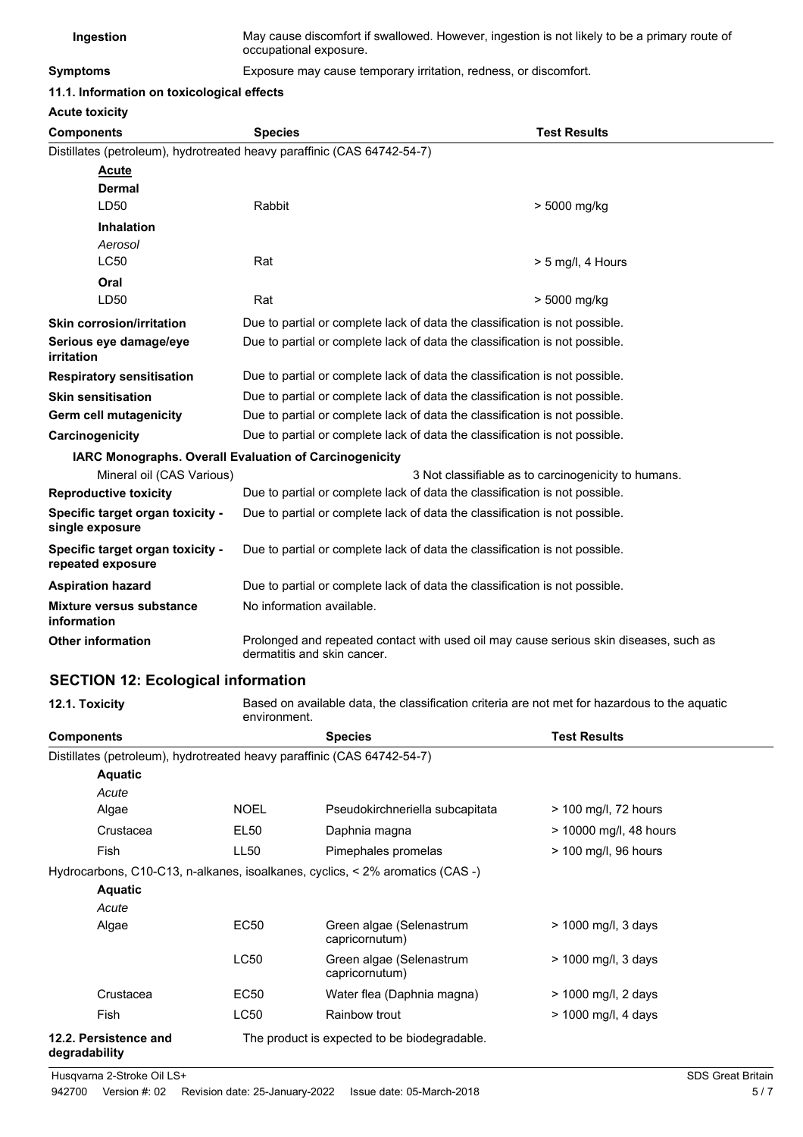| Ingestion | May cause discomfort if swallowed. However, ingestion is not likely to be a primary route of |
|-----------|----------------------------------------------------------------------------------------------|
|           | occupational exposure.                                                                       |

**Symptoms** Exposure may cause temporary irritation, redness, or discomfort.

**11.1. Information on toxicological effects**

**Acute toxicity**

| ACULE LUXICILY                                                          |                                                                             |                                                                                       |  |
|-------------------------------------------------------------------------|-----------------------------------------------------------------------------|---------------------------------------------------------------------------------------|--|
| <b>Components</b>                                                       | <b>Species</b>                                                              | <b>Test Results</b>                                                                   |  |
| Distillates (petroleum), hydrotreated heavy paraffinic (CAS 64742-54-7) |                                                                             |                                                                                       |  |
| <b>Acute</b>                                                            |                                                                             |                                                                                       |  |
| <b>Dermal</b>                                                           |                                                                             |                                                                                       |  |
| LD50                                                                    | Rabbit                                                                      | > 5000 mg/kg                                                                          |  |
| <b>Inhalation</b>                                                       |                                                                             |                                                                                       |  |
| Aerosol                                                                 |                                                                             |                                                                                       |  |
| <b>LC50</b>                                                             | Rat                                                                         | $> 5$ mg/l, 4 Hours                                                                   |  |
| Oral                                                                    |                                                                             |                                                                                       |  |
| LD50                                                                    | Rat                                                                         | > 5000 mg/kg                                                                          |  |
| <b>Skin corrosion/irritation</b>                                        |                                                                             | Due to partial or complete lack of data the classification is not possible.           |  |
| Serious eye damage/eye<br>irritation                                    |                                                                             | Due to partial or complete lack of data the classification is not possible.           |  |
| <b>Respiratory sensitisation</b>                                        | Due to partial or complete lack of data the classification is not possible. |                                                                                       |  |
| <b>Skin sensitisation</b>                                               | Due to partial or complete lack of data the classification is not possible. |                                                                                       |  |
| Germ cell mutagenicity                                                  | Due to partial or complete lack of data the classification is not possible. |                                                                                       |  |
| Carcinogenicity                                                         | Due to partial or complete lack of data the classification is not possible. |                                                                                       |  |
|                                                                         | IARC Monographs. Overall Evaluation of Carcinogenicity                      |                                                                                       |  |
| Mineral oil (CAS Various)                                               |                                                                             | 3 Not classifiable as to carcinogenicity to humans.                                   |  |
| <b>Reproductive toxicity</b>                                            | Due to partial or complete lack of data the classification is not possible. |                                                                                       |  |
| Specific target organ toxicity -<br>single exposure                     |                                                                             | Due to partial or complete lack of data the classification is not possible.           |  |
| Specific target organ toxicity -<br>repeated exposure                   |                                                                             | Due to partial or complete lack of data the classification is not possible.           |  |
| <b>Aspiration hazard</b>                                                |                                                                             | Due to partial or complete lack of data the classification is not possible.           |  |
| Mixture versus substance<br>information                                 | No information available.                                                   |                                                                                       |  |
| <b>Other information</b>                                                | dermatitis and skin cancer.                                                 | Prolonged and repeated contact with used oil may cause serious skin diseases, such as |  |

# **SECTION 12: Ecological information**

| 12.1. Toxicity                                                          | Based on available data, the classification criteria are not met for hazardous to the aquatic<br>environment. |                                                                                    |                        |  |
|-------------------------------------------------------------------------|---------------------------------------------------------------------------------------------------------------|------------------------------------------------------------------------------------|------------------------|--|
| <b>Components</b>                                                       |                                                                                                               | <b>Species</b>                                                                     | <b>Test Results</b>    |  |
| Distillates (petroleum), hydrotreated heavy paraffinic (CAS 64742-54-7) |                                                                                                               |                                                                                    |                        |  |
| <b>Aquatic</b>                                                          |                                                                                                               |                                                                                    |                        |  |
| Acute                                                                   |                                                                                                               |                                                                                    |                        |  |
| Algae                                                                   | <b>NOEL</b>                                                                                                   | Pseudokirchneriella subcapitata                                                    | $>$ 100 mg/l, 72 hours |  |
| Crustacea                                                               | EL50                                                                                                          | Daphnia magna                                                                      | > 10000 mg/l, 48 hours |  |
| Fish                                                                    | LL <sub>50</sub>                                                                                              | Pimephales promelas                                                                | > 100 mg/l, 96 hours   |  |
|                                                                         |                                                                                                               | Hydrocarbons, C10-C13, n-alkanes, isoalkanes, cyclics, $\lt 2\%$ aromatics (CAS -) |                        |  |
| <b>Aquatic</b>                                                          |                                                                                                               |                                                                                    |                        |  |
| Acute                                                                   |                                                                                                               |                                                                                    |                        |  |
| Algae                                                                   | <b>EC50</b>                                                                                                   | Green algae (Selenastrum<br>capricornutum)                                         | > 1000 mg/l, 3 days    |  |
|                                                                         | LC50                                                                                                          | Green algae (Selenastrum<br>capricornutum)                                         | > 1000 mg/l, 3 days    |  |
| Crustacea                                                               | EC50                                                                                                          | Water flea (Daphnia magna)                                                         | > 1000 mg/l, 2 days    |  |
| Fish                                                                    | LC50                                                                                                          | Rainbow trout                                                                      | > 1000 mg/l, 4 days    |  |
| 12.2. Persistence and<br>degradability                                  |                                                                                                               | The product is expected to be biodegradable.                                       |                        |  |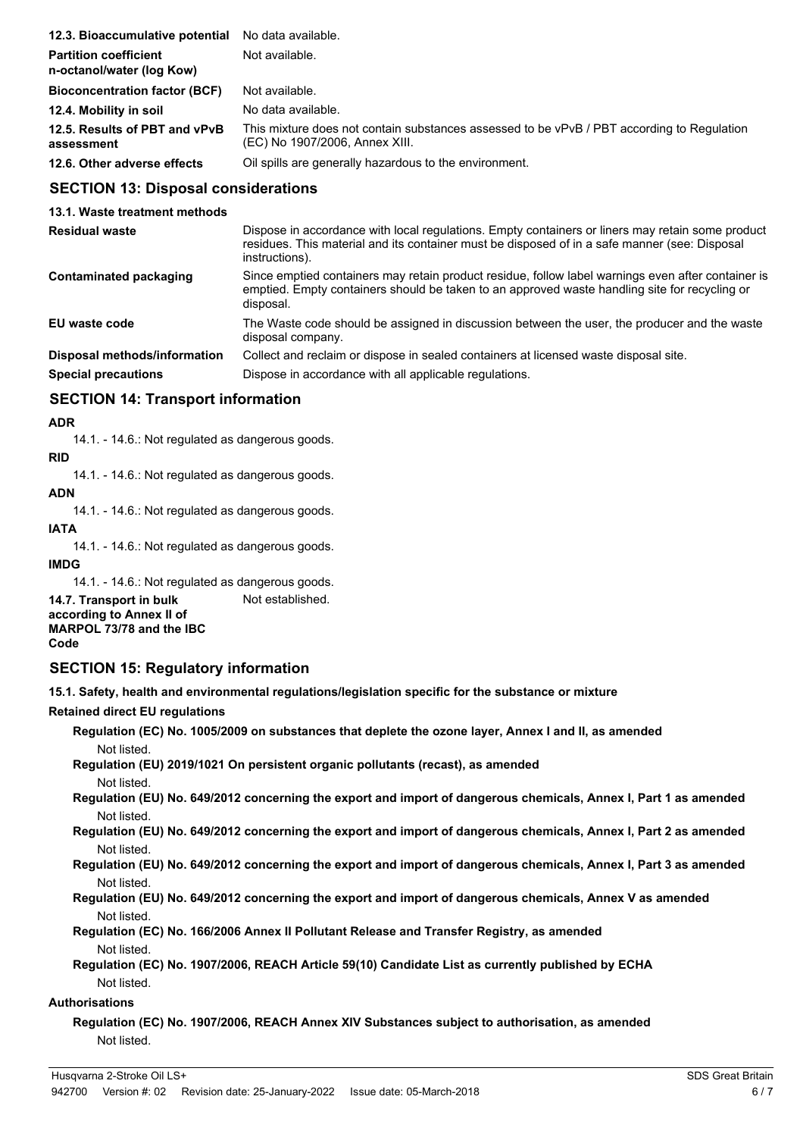| 12.3. Bioaccumulative potential                           | No data available.                                                                                                           |
|-----------------------------------------------------------|------------------------------------------------------------------------------------------------------------------------------|
| <b>Partition coefficient</b><br>n-octanol/water (log Kow) | Not available.                                                                                                               |
| <b>Bioconcentration factor (BCF)</b>                      | Not available.                                                                                                               |
| 12.4. Mobility in soil                                    | No data available.                                                                                                           |
| 12.5. Results of PBT and vPvB<br>assessment               | This mixture does not contain substances assessed to be vPvB / PBT according to Regulation<br>(EC) No 1907/2006, Annex XIII. |
| 12.6. Other adverse effects                               | Oil spills are generally hazardous to the environment.                                                                       |

## **SECTION 13: Disposal considerations**

**13.1. Waste treatment methods**

| <b>Residual waste</b>        | Dispose in accordance with local regulations. Empty containers or liners may retain some product<br>residues. This material and its container must be disposed of in a safe manner (see: Disposal<br>instructions). |
|------------------------------|---------------------------------------------------------------------------------------------------------------------------------------------------------------------------------------------------------------------|
| Contaminated packaging       | Since emptied containers may retain product residue, follow label warnings even after container is<br>emptied. Empty containers should be taken to an approved waste handling site for recycling or<br>disposal.    |
| EU waste code                | The Waste code should be assigned in discussion between the user, the producer and the waste<br>disposal company.                                                                                                   |
| Disposal methods/information | Collect and reclaim or dispose in sealed containers at licensed waste disposal site.                                                                                                                                |
| <b>Special precautions</b>   | Dispose in accordance with all applicable regulations.                                                                                                                                                              |

# **SECTION 14: Transport information**

#### **ADR**

14.1. - 14.6.: Not regulated as dangerous goods.

### **RID**

14.1. - 14.6.: Not regulated as dangerous goods.

### **ADN**

14.1. - 14.6.: Not regulated as dangerous goods.

## **IATA**

14.1. - 14.6.: Not regulated as dangerous goods.

**IMDG**

14.1. - 14.6.: Not regulated as dangerous goods. **14.7. Transport in bulk** Not established. **according to Annex II of MARPOL 73/78 and the IBC Code**

# **SECTION 15: Regulatory information**

**15.1. Safety, health and environmental regulations/legislation specific for the substance or mixture**

## **Retained direct EU regulations**

**Regulation (EC) No. 1005/2009 on substances that deplete the ozone layer, Annex I and II, as amended** Not listed.

**Regulation (EU) 2019/1021 On persistent organic pollutants (recast), as amended** Not listed.

**Regulation (EU) No. 649/2012 concerning the export and import of dangerous chemicals, Annex I, Part 1 as amended** Not listed.

**Regulation (EU) No. 649/2012 concerning the export and import of dangerous chemicals, Annex I, Part 2 as amended** Not listed.

**Regulation (EU) No. 649/2012 concerning the export and import of dangerous chemicals, Annex I, Part 3 as amended** Not listed.

**Regulation (EU) No. 649/2012 concerning the export and import of dangerous chemicals, Annex V as amended** Not listed.

**Regulation (EC) No. 166/2006 Annex II Pollutant Release and Transfer Registry, as amended** Not listed.

**Regulation (EC) No. 1907/2006, REACH Article 59(10) Candidate List as currently published by ECHA** Not listed.

#### **Authorisations**

**Regulation (EC) No. 1907/2006, REACH Annex XIV Substances subject to authorisation, as amended** Not listed.